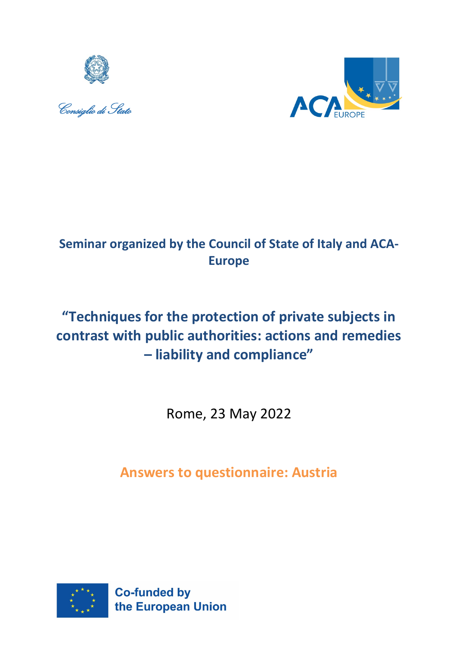





# **Seminar organized by the Council of State of Italy and ACA-Europe**

# **"Techniques for the protection of private subjects in contrast with public authorities: actions and remedies – liability and compliance"**

Rome, 23 May 2022

**Answers to questionnaire: Austria**

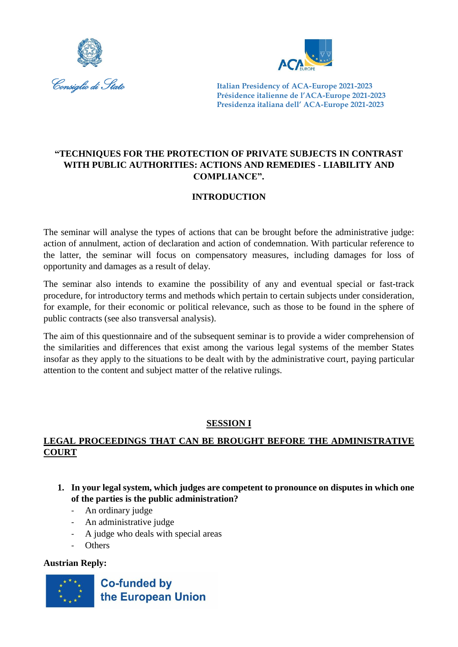



# **"TECHNIQUES FOR THE PROTECTION OF PRIVATE SUBJECTS IN CONTRAST WITH PUBLIC AUTHORITIES: ACTIONS AND REMEDIES - LIABILITY AND COMPLIANCE".**

# **INTRODUCTION**

The seminar will analyse the types of actions that can be brought before the administrative judge: action of annulment, action of declaration and action of condemnation. With particular reference to the latter, the seminar will focus on compensatory measures, including damages for loss of opportunity and damages as a result of delay.

The seminar also intends to examine the possibility of any and eventual special or fast-track procedure, for introductory terms and methods which pertain to certain subjects under consideration, for example, for their economic or political relevance, such as those to be found in the sphere of public contracts (see also transversal analysis).

The aim of this questionnaire and of the subsequent seminar is to provide a wider comprehension of the similarities and differences that exist among the various legal systems of the member States insofar as they apply to the situations to be dealt with by the administrative court, paying particular attention to the content and subject matter of the relative rulings.

# **SESSION I**

# **LEGAL PROCEEDINGS THAT CAN BE BROUGHT BEFORE THE ADMINISTRATIVE COURT**

- **1. In your legal system, which judges are competent to pronounce on disputes in which one of the parties is the public administration?**
	- An ordinary judge
	- An administrative judge
	- A judge who deals with special areas
	- Others

# **Austrian Reply:**

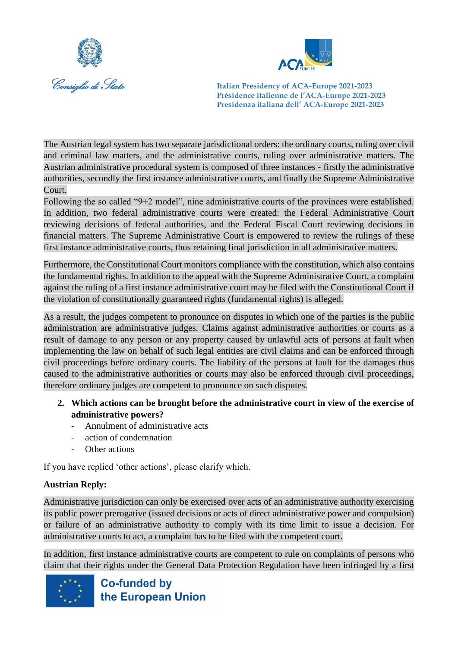



The Austrian legal system has two separate jurisdictional orders: the ordinary courts, ruling over civil and criminal law matters, and the administrative courts, ruling over administrative matters. The Austrian administrative procedural system is composed of three instances - firstly the administrative authorities, secondly the first instance administrative courts, and finally the Supreme Administrative Court.

Following the so called "9+2 model", nine administrative courts of the provinces were established. In addition, two federal administrative courts were created: the Federal Administrative Court reviewing decisions of federal authorities, and the Federal Fiscal Court reviewing decisions in financial matters. The Supreme Administrative Court is empowered to review the rulings of these first instance administrative courts, thus retaining final jurisdiction in all administrative matters.

Furthermore, the Constitutional Court monitors compliance with the constitution, which also contains the fundamental rights. In addition to the appeal with the Supreme Administrative Court, a complaint against the ruling of a first instance administrative court may be filed with the Constitutional Court if the violation of constitutionally guaranteed rights (fundamental rights) is alleged.

As a result, the judges competent to pronounce on disputes in which one of the parties is the public administration are administrative judges. Claims against administrative authorities or courts as a result of damage to any person or any property caused by unlawful acts of persons at fault when implementing the law on behalf of such legal entities are civil claims and can be enforced through civil proceedings before ordinary courts. The liability of the persons at fault for the damages thus caused to the administrative authorities or courts may also be enforced through civil proceedings, therefore ordinary judges are competent to pronounce on such disputes.

- **2. Which actions can be brought before the administrative court in view of the exercise of administrative powers?**
	- Annulment of administrative acts
	- action of condemnation
	- Other actions

If you have replied 'other actions', please clarify which.

#### **Austrian Reply:**

Administrative jurisdiction can only be exercised over acts of an administrative authority exercising its public power prerogative (issued decisions or acts of direct administrative power and compulsion) or failure of an administrative authority to comply with its time limit to issue a decision. For administrative courts to act, a complaint has to be filed with the competent court.

In addition, first instance administrative courts are competent to rule on complaints of persons who claim that their rights under the General Data Protection Regulation have been infringed by a first

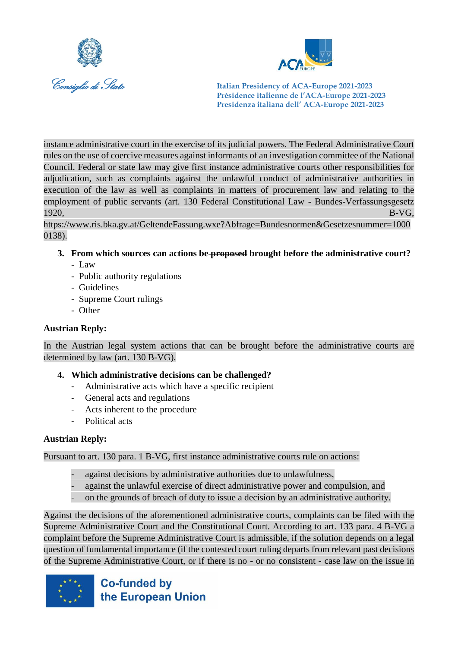



instance administrative court in the exercise of its judicial powers. The Federal Administrative Court rules on the use of coercive measures against informants of an investigation committee of the National Council. Federal or state law may give first instance administrative courts other responsibilities for adjudication, such as complaints against the unlawful conduct of administrative authorities in execution of the law as well as complaints in matters of procurement law and relating to the employment of public servants (art. 130 Federal Constitutional Law - Bundes-Verfassungsgesetz  $1920,$  B-VG,

https://www.ris.bka.gv.at/GeltendeFassung.wxe?Abfrage=Bundesnormen&Gesetzesnummer=1000 0138).

- **3. From which sources can actions be proposed brought before the administrative court?**
	- Law
	- Public authority regulations
	- Guidelines
	- Supreme Court rulings
	- Other

#### **Austrian Reply:**

In the Austrian legal system actions that can be brought before the administrative courts are determined by law (art. 130 B-VG).

#### **4. Which administrative decisions can be challenged?**

- Administrative acts which have a specific recipient
- General acts and regulations
- Acts inherent to the procedure
- Political acts

#### **Austrian Reply:**

Pursuant to art. 130 para. 1 B-VG, first instance administrative courts rule on actions:

- against decisions by administrative authorities due to unlawfulness,
- against the unlawful exercise of direct administrative power and compulsion, and
- on the grounds of breach of duty to issue a decision by an administrative authority.

Against the decisions of the aforementioned administrative courts, complaints can be filed with the Supreme Administrative Court and the Constitutional Court. According to art. 133 para. 4 B-VG a complaint before the Supreme Administrative Court is admissible, if the solution depends on a legal question of fundamental importance (if the contested court ruling departs from relevant past decisions of the Supreme Administrative Court, or if there is no - or no consistent - case law on the issue in

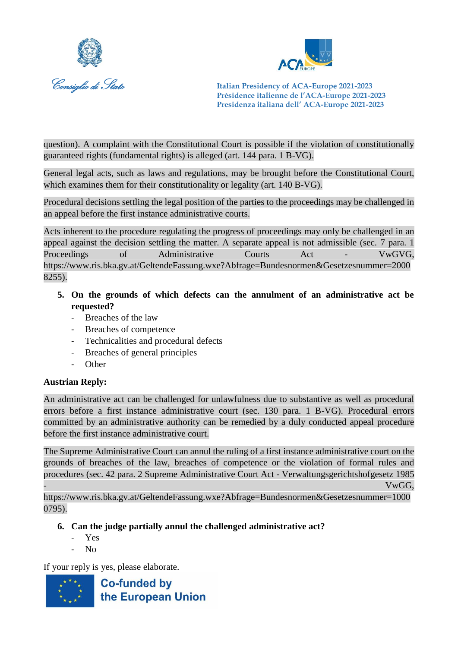



question). A complaint with the Constitutional Court is possible if the violation of constitutionally guaranteed rights (fundamental rights) is alleged (art. 144 para. 1 B-VG).

General legal acts, such as laws and regulations, may be brought before the Constitutional Court, which examines them for their constitutionality or legality (art. 140 B-VG).

Procedural decisions settling the legal position of the parties to the proceedings may be challenged in an appeal before the first instance administrative courts.

Acts inherent to the procedure regulating the progress of proceedings may only be challenged in an appeal against the decision settling the matter. A separate appeal is not admissible (sec. 7 para. 1 Proceedings of Administrative Courts Act - VwGVG, https://www.ris.bka.gv.at/GeltendeFassung.wxe?Abfrage=Bundesnormen&Gesetzesnummer=2000 8255).

- **5. On the grounds of which defects can the annulment of an administrative act be requested?**
	- Breaches of the law
	- Breaches of competence
	- Technicalities and procedural defects
	- Breaches of general principles
	- Other

#### **Austrian Reply:**

An administrative act can be challenged for unlawfulness due to substantive as well as procedural errors before a first instance administrative court (sec. 130 para. 1 B-VG). Procedural errors committed by an administrative authority can be remedied by a duly conducted appeal procedure before the first instance administrative court.

The Supreme Administrative Court can annul the ruling of a first instance administrative court on the grounds of breaches of the law, breaches of competence or the violation of formal rules and procedures (sec. 42 para. 2 Supreme Administrative Court Act - Verwaltungsgerichtshofgesetz 1985 - VwGG,

https://www.ris.bka.gv.at/GeltendeFassung.wxe?Abfrage=Bundesnormen&Gesetzesnummer=1000 0795).

#### **6. Can the judge partially annul the challenged administrative act?**

- Yes
- No

If your reply is yes, please elaborate.

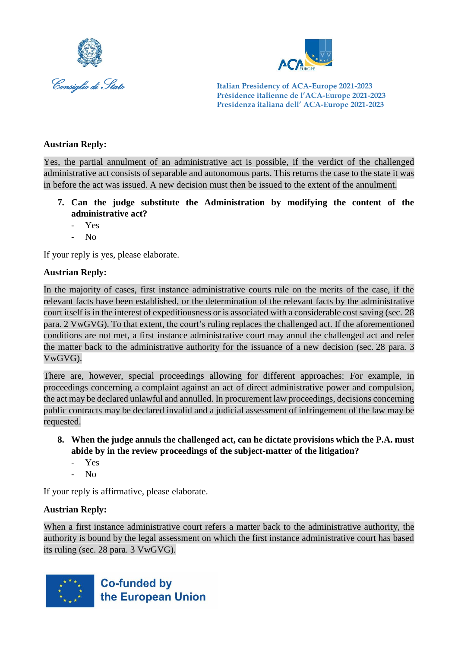



#### **Austrian Reply:**

Yes, the partial annulment of an administrative act is possible, if the verdict of the challenged administrative act consists of separable and autonomous parts. This returns the case to the state it was in before the act was issued. A new decision must then be issued to the extent of the annulment.

- **7. Can the judge substitute the Administration by modifying the content of the administrative act?**
	- Yes
	- No

If your reply is yes, please elaborate.

#### **Austrian Reply:**

In the majority of cases, first instance administrative courts rule on the merits of the case, if the relevant facts have been established, or the determination of the relevant facts by the administrative court itself is in the interest of expeditiousness or is associated with a considerable cost saving (sec. 28 para. 2 VwGVG). To that extent, the court's ruling replaces the challenged act. If the aforementioned conditions are not met, a first instance administrative court may annul the challenged act and refer the matter back to the administrative authority for the issuance of a new decision (sec. 28 para. 3 VwGVG).

There are, however, special proceedings allowing for different approaches: For example, in proceedings concerning a complaint against an act of direct administrative power and compulsion, the act may be declared unlawful and annulled. In procurement law proceedings, decisions concerning public contracts may be declared invalid and a judicial assessment of infringement of the law may be requested.

- **8. When the judge annuls the challenged act, can he dictate provisions which the P.A. must abide by in the review proceedings of the subject-matter of the litigation?**
	- Yes
	- No

If your reply is affirmative, please elaborate.

#### **Austrian Reply:**

When a first instance administrative court refers a matter back to the administrative authority, the authority is bound by the legal assessment on which the first instance administrative court has based its ruling (sec. 28 para. 3 VwGVG).

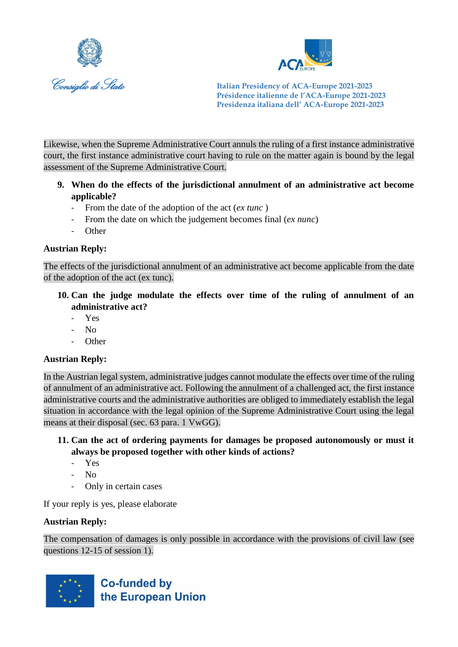



Likewise, when the Supreme Administrative Court annuls the ruling of a first instance administrative court, the first instance administrative court having to rule on the matter again is bound by the legal assessment of the Supreme Administrative Court.

- **9. When do the effects of the jurisdictional annulment of an administrative act become applicable?** 
	- From the date of the adoption of the act (*ex tunc*)
	- From the date on which the judgement becomes final (*ex nunc*)
	- **Other**

#### **Austrian Reply:**

The effects of the jurisdictional annulment of an administrative act become applicable from the date of the adoption of the act (ex tunc).

- **10. Can the judge modulate the effects over time of the ruling of annulment of an administrative act?**
	- Yes
	- $N<sub>0</sub>$
	- **Other**

#### **Austrian Reply:**

In the Austrian legal system, administrative judges cannot modulate the effects over time of the ruling of annulment of an administrative act. Following the annulment of a challenged act, the first instance administrative courts and the administrative authorities are obliged to immediately establish the legal situation in accordance with the legal opinion of the Supreme Administrative Court using the legal means at their disposal (sec. 63 para. 1 VwGG).

- **11. Can the act of ordering payments for damages be proposed autonomously or must it always be proposed together with other kinds of actions?**
	- Yes
	- No
	- Only in certain cases

If your reply is yes, please elaborate

#### **Austrian Reply:**

The compensation of damages is only possible in accordance with the provisions of civil law (see questions 12-15 of session 1).

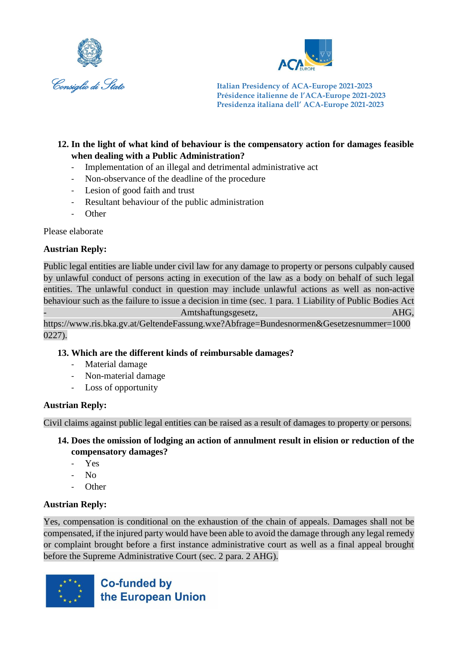



#### **12. In the light of what kind of behaviour is the compensatory action for damages feasible when dealing with a Public Administration?**

- Implementation of an illegal and detrimental administrative act
- Non-observance of the deadline of the procedure
- Lesion of good faith and trust
- Resultant behaviour of the public administration
- Other

Please elaborate

#### **Austrian Reply:**

Public legal entities are liable under civil law for any damage to property or persons culpably caused by unlawful conduct of persons acting in execution of the law as a body on behalf of such legal entities. The unlawful conduct in question may include unlawful actions as well as non-active behaviour such as the failure to issue a decision in time (sec. 1 para. 1 Liability of Public Bodies Act Amtshaftungsgesetz, and a state of the AHG, https://www.ris.bka.gv.at/GeltendeFassung.wxe?Abfrage=Bundesnormen&Gesetzesnummer=1000

0227).

#### **13. Which are the different kinds of reimbursable damages?**

- Material damage
- Non-material damage
- Loss of opportunity

#### **Austrian Reply:**

Civil claims against public legal entities can be raised as a result of damages to property or persons.

#### **14. Does the omission of lodging an action of annulment result in elision or reduction of the compensatory damages?**

- Yes
- $N<sub>0</sub>$
- Other

#### **Austrian Reply:**

Yes, compensation is conditional on the exhaustion of the chain of appeals. Damages shall not be compensated, if the injured party would have been able to avoid the damage through any legal remedy or complaint brought before a first instance administrative court as well as a final appeal brought before the Supreme Administrative Court (sec. 2 para. 2 AHG).

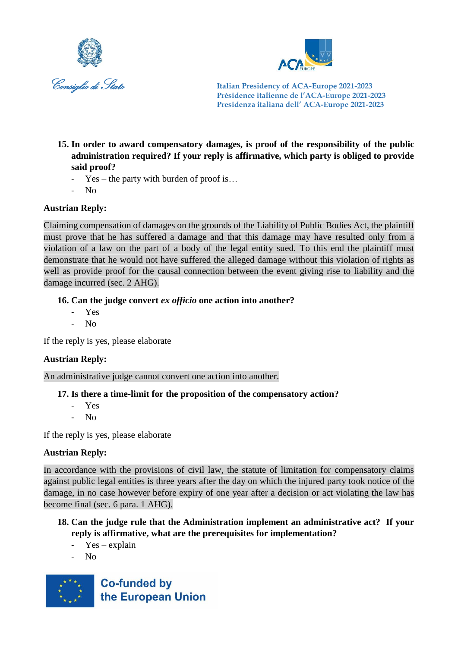



- **15. In order to award compensatory damages, is proof of the responsibility of the public administration required? If your reply is affirmative, which party is obliged to provide said proof?**
	- $Yes the party with burden of proof is...$
	- No

# **Austrian Reply:**

Claiming compensation of damages on the grounds of the Liability of Public Bodies Act, the plaintiff must prove that he has suffered a damage and that this damage may have resulted only from a violation of a law on the part of a body of the legal entity sued. To this end the plaintiff must demonstrate that he would not have suffered the alleged damage without this violation of rights as well as provide proof for the causal connection between the event giving rise to liability and the damage incurred (sec. 2 AHG).

#### **16. Can the judge convert** *ex officio* **one action into another?**

- Yes
- No

If the reply is yes, please elaborate

#### **Austrian Reply:**

An administrative judge cannot convert one action into another.

#### **17. Is there a time-limit for the proposition of the compensatory action?**

- Yes
- $N<sub>0</sub>$

If the reply is yes, please elaborate

#### **Austrian Reply:**

In accordance with the provisions of civil law, the statute of limitation for compensatory claims against public legal entities is three years after the day on which the injured party took notice of the damage, in no case however before expiry of one year after a decision or act violating the law has become final (sec. 6 para. 1 AHG).

#### **18. Can the judge rule that the Administration implement an administrative act? If your reply is affirmative, what are the prerequisites for implementation?**

- $Yes explain$
- No

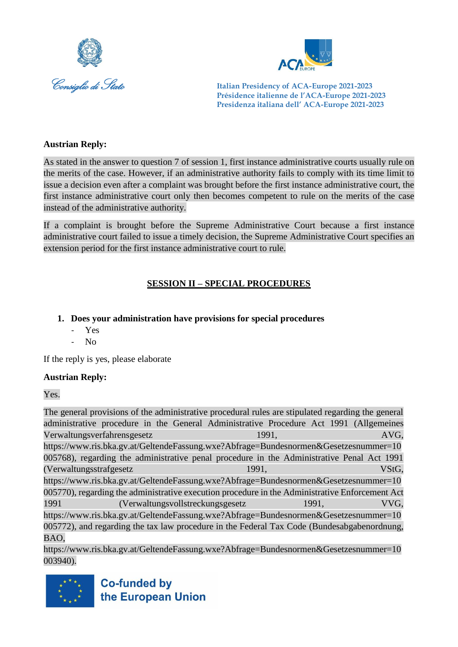



#### **Austrian Reply:**

As stated in the answer to question 7 of session 1, first instance administrative courts usually rule on the merits of the case. However, if an administrative authority fails to comply with its time limit to issue a decision even after a complaint was brought before the first instance administrative court, the first instance administrative court only then becomes competent to rule on the merits of the case instead of the administrative authority.

If a complaint is brought before the Supreme Administrative Court because a first instance administrative court failed to issue a timely decision, the Supreme Administrative Court specifies an extension period for the first instance administrative court to rule.

# **SESSION II – SPECIAL PROCEDURES**

#### **1. Does your administration have provisions for special procedures**

- Yes
- No

If the reply is yes, please elaborate

#### **Austrian Reply:**

Yes.

The general provisions of the administrative procedural rules are stipulated regarding the general administrative procedure in the General Administrative Procedure Act 1991 (Allgemeines Verwaltungsverfahrensgesetz 1991, AVG, https://www.ris.bka.gv.at/GeltendeFassung.wxe?Abfrage=Bundesnormen&Gesetzesnummer=10 005768), regarding the administrative penal procedure in the Administrative Penal Act 1991 (Verwaltungsstrafgesetz 1991, VStG, [https://www.ris.bka.gv.at/GeltendeFassung.wxe?Abfrage=Bundesnormen&Gesetzesnummer=10](https://www.ris.bka.gv.at/GeltendeFassung.wxe?Abfrage=Bundesnormen&Gesetzesnummer=10005770) [005770\)](https://www.ris.bka.gv.at/GeltendeFassung.wxe?Abfrage=Bundesnormen&Gesetzesnummer=10005770), regarding the administrative execution procedure in the Administrative Enforcement Act 1991 (Verwaltungsvollstreckungsgesetz 1991, VVG, https://www.ris.bka.gv.at/GeltendeFassung.wxe?Abfrage=Bundesnormen&Gesetzesnummer=10 005772), and regarding the tax law procedure in the Federal Tax Code (Bundesabgabenordnung, BAO,

https://www.ris.bka.gv.at/GeltendeFassung.wxe?Abfrage=Bundesnormen&Gesetzesnummer=10 003940).

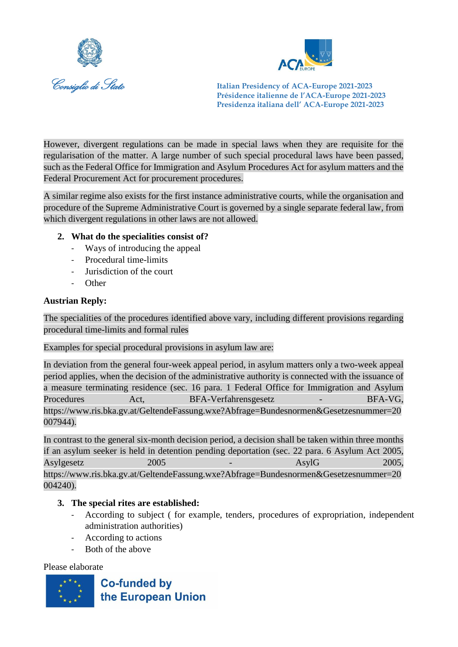



However, divergent regulations can be made in special laws when they are requisite for the regularisation of the matter. A large number of such special procedural laws have been passed, such as the Federal Office for Immigration and Asylum Procedures Act for asylum matters and the Federal Procurement Act for procurement procedures.

A similar regime also exists for the first instance administrative courts, while the organisation and procedure of the Supreme Administrative Court is governed by a single separate federal law, from which divergent regulations in other laws are not allowed.

#### **2. What do the specialities consist of?**

- Ways of introducing the appeal
- Procedural time-limits
- Jurisdiction of the court
- Other

#### **Austrian Reply:**

The specialities of the procedures identified above vary, including different provisions regarding procedural time-limits and formal rules

Examples for special procedural provisions in asylum law are:

In deviation from the general four-week appeal period, in asylum matters only a two-week appeal period applies, when the decision of the administrative authority is connected with the issuance of a measure terminating residence (sec. 16 para. 1 Federal Office for Immigration and Asylum Procedures Act, BFA-Verfahrensgesetz - BFA-VG, https://www.ris.bka.gv.at/GeltendeFassung.wxe?Abfrage=Bundesnormen&Gesetzesnummer=20 007944).

In contrast to the general six-month decision period, a decision shall be taken within three months if an asylum seeker is held in detention pending deportation (sec. 22 para. 6 Asylum Act 2005, Asylgesetz 2005 - AsylG 2005, https://www.ris.bka.gv.at/GeltendeFassung.wxe?Abfrage=Bundesnormen&Gesetzesnummer=20 004240).

#### **3. The special rites are established:**

- According to subject ( for example, tenders, procedures of expropriation, independent administration authorities)
- According to actions
- Both of the above

#### Please elaborate

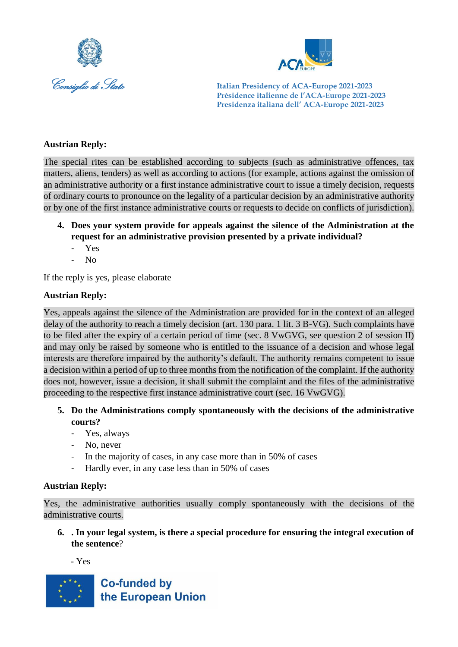



#### **Austrian Reply:**

The special rites can be established according to subjects (such as administrative offences, tax matters, aliens, tenders) as well as according to actions (for example, actions against the omission of an administrative authority or a first instance administrative court to issue a timely decision, requests of ordinary courts to pronounce on the legality of a particular decision by an administrative authority or by one of the first instance administrative courts or requests to decide on conflicts of jurisdiction).

- **4. Does your system provide for appeals against the silence of the Administration at the request for an administrative provision presented by a private individual?**
	- Yes
	- $N<sub>0</sub>$

If the reply is yes, please elaborate

#### **Austrian Reply:**

Yes, appeals against the silence of the Administration are provided for in the context of an alleged delay of the authority to reach a timely decision (art. 130 para. 1 lit. 3 B-VG). Such complaints have to be filed after the expiry of a certain period of time (sec. 8 VwGVG, see question 2 of session II) and may only be raised by someone who is entitled to the issuance of a decision and whose legal interests are therefore impaired by the authority's default. The authority remains competent to issue a decision within a period of up to three months from the notification of the complaint. If the authority does not, however, issue a decision, it shall submit the complaint and the files of the administrative proceeding to the respective first instance administrative court (sec. 16 VwGVG).

- **5. Do the Administrations comply spontaneously with the decisions of the administrative courts?**
	- Yes, always
	- No, never
	- In the majority of cases, in any case more than in 50% of cases
	- Hardly ever, in any case less than in 50% of cases

#### **Austrian Reply:**

Yes, the administrative authorities usually comply spontaneously with the decisions of the administrative courts.

**6. . In your legal system, is there a special procedure for ensuring the integral execution of the sentence**?

- Yes

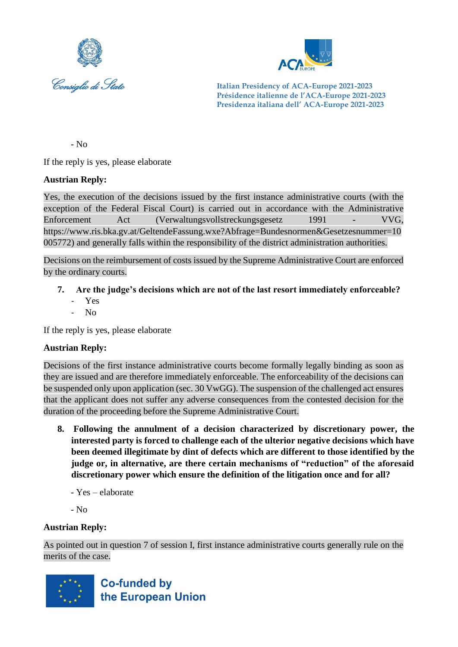



- No

If the reply is yes, please elaborate

#### **Austrian Reply:**

Yes, the execution of the decisions issued by the first instance administrative courts (with the exception of the Federal Fiscal Court) is carried out in accordance with the Administrative Enforcement Act (Verwaltungsvollstreckungsgesetz 1991 - VVG, https://www.ris.bka.gv.at/GeltendeFassung.wxe?Abfrage=Bundesnormen&Gesetzesnummer=10 005772) and generally falls within the responsibility of the district administration authorities.

Decisions on the reimbursement of costs issued by the Supreme Administrative Court are enforced by the ordinary courts.

- **7. Are the judge's decisions which are not of the last resort immediately enforceable?**
	- Yes
	- No

If the reply is yes, please elaborate

#### **Austrian Reply:**

Decisions of the first instance administrative courts become formally legally binding as soon as they are issued and are therefore immediately enforceable. The enforceability of the decisions can be suspended only upon application (sec. 30 VwGG). The suspension of the challenged act ensures that the applicant does not suffer any adverse consequences from the contested decision for the duration of the proceeding before the Supreme Administrative Court.

- **8. Following the annulment of a decision characterized by discretionary power, the interested party is forced to challenge each of the ulterior negative decisions which have been deemed illegitimate by dint of defects which are different to those identified by the judge or, in alternative, are there certain mechanisms of "reduction" of the aforesaid discretionary power which ensure the definition of the litigation once and for all?**
	- Yes elaborate
	- No

#### **Austrian Reply:**

As pointed out in question 7 of session I, first instance administrative courts generally rule on the merits of the case.

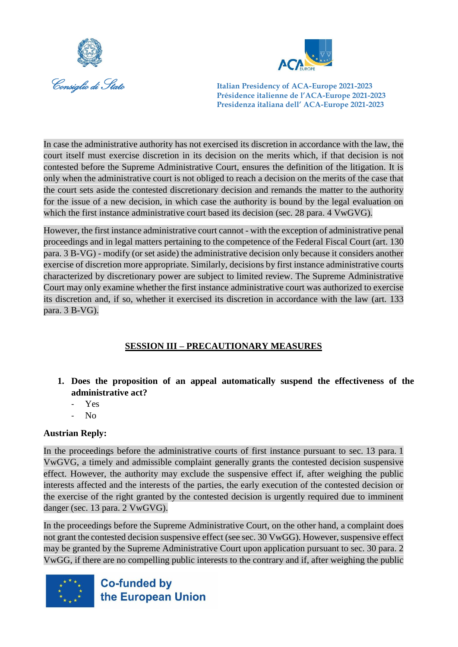



In case the administrative authority has not exercised its discretion in accordance with the law, the court itself must exercise discretion in its decision on the merits which, if that decision is not contested before the Supreme Administrative Court, ensures the definition of the litigation. It is only when the administrative court is not obliged to reach a decision on the merits of the case that the court sets aside the contested discretionary decision and remands the matter to the authority for the issue of a new decision, in which case the authority is bound by the legal evaluation on which the first instance administrative court based its decision (sec. 28 para. 4 VwGVG).

However, the first instance administrative court cannot - with the exception of administrative penal proceedings and in legal matters pertaining to the competence of the Federal Fiscal Court (art. 130 para. 3 B-VG) - modify (or set aside) the administrative decision only because it considers another exercise of discretion more appropriate. Similarly, decisions by first instance administrative courts characterized by discretionary power are subject to limited review. The Supreme Administrative Court may only examine whether the first instance administrative court was authorized to exercise its discretion and, if so, whether it exercised its discretion in accordance with the law (art. 133 para. 3 B-VG).

# **SESSION III – PRECAUTIONARY MEASURES**

- **1. Does the proposition of an appeal automatically suspend the effectiveness of the administrative act?**
	- Yes
	- No

#### **Austrian Reply:**

In the proceedings before the administrative courts of first instance pursuant to sec. 13 para. 1 VwGVG, a timely and admissible complaint generally grants the contested decision suspensive effect. However, the authority may exclude the suspensive effect if, after weighing the public interests affected and the interests of the parties, the early execution of the contested decision or the exercise of the right granted by the contested decision is urgently required due to imminent danger (sec. 13 para. 2 VwGVG).

In the proceedings before the Supreme Administrative Court, on the other hand, a complaint does not grant the contested decision suspensive effect (see sec. 30 VwGG). However, suspensive effect may be granted by the Supreme Administrative Court upon application pursuant to sec. 30 para. 2 VwGG, if there are no compelling public interests to the contrary and if, after weighing the public

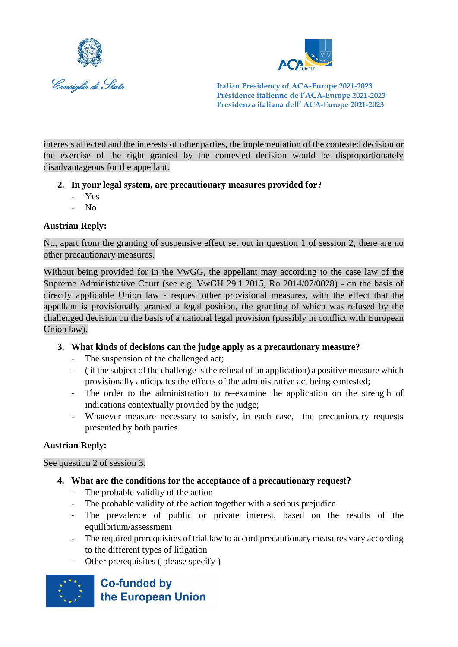



interests affected and the interests of other parties, the implementation of the contested decision or the exercise of the right granted by the contested decision would be disproportionately disadvantageous for the appellant.

# **2. In your legal system, are precautionary measures provided for?**

- Yes
- $N<sub>0</sub>$

# **Austrian Reply:**

No, apart from the granting of suspensive effect set out in question 1 of session 2, there are no other precautionary measures.

Without being provided for in the VwGG, the appellant may according to the case law of the Supreme Administrative Court (see e.g. VwGH 29.1.2015, Ro 2014/07/0028) - on the basis of directly applicable Union law - request other provisional measures, with the effect that the appellant is provisionally granted a legal position, the granting of which was refused by the challenged decision on the basis of a national legal provision (possibly in conflict with European Union law).

# **3. What kinds of decisions can the judge apply as a precautionary measure?**

- The suspension of the challenged act;
- ( if the subject of the challenge is the refusal of an application) a positive measure which provisionally anticipates the effects of the administrative act being contested;
- The order to the administration to re-examine the application on the strength of indications contextually provided by the judge;
- Whatever measure necessary to satisfy, in each case, the precautionary requests presented by both parties

#### **Austrian Reply:**

See question 2 of session 3.

- **4. What are the conditions for the acceptance of a precautionary request?**
	- The probable validity of the action
	- The probable validity of the action together with a serious prejudice
	- The prevalence of public or private interest, based on the results of the equilibrium/assessment
	- The required prerequisites of trial law to accord precautionary measures vary according to the different types of litigation
	- Other prerequisites ( please specify )

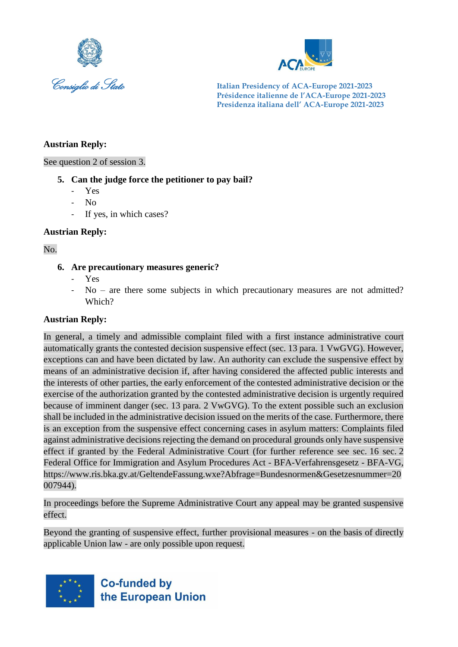



#### **Austrian Reply:**

See question 2 of session 3.

#### **5. Can the judge force the petitioner to pay bail?**

- Yes
- N<sub>0</sub>
- If yes, in which cases?

#### **Austrian Reply:**

#### No.

#### **6. Are precautionary measures generic?**

- Yes
- $No$  are there some subjects in which precautionary measures are not admitted? Which?

#### **Austrian Reply:**

In general, a timely and admissible complaint filed with a first instance administrative court automatically grants the contested decision suspensive effect (sec. 13 para. 1 VwGVG). However, exceptions can and have been dictated by law. An authority can exclude the suspensive effect by means of an administrative decision if, after having considered the affected public interests and the interests of other parties, the early enforcement of the contested administrative decision or the exercise of the authorization granted by the contested administrative decision is urgently required because of imminent danger (sec. 13 para. 2 VwGVG). To the extent possible such an exclusion shall be included in the administrative decision issued on the merits of the case. Furthermore, there is an exception from the suspensive effect concerning cases in asylum matters: Complaints filed against administrative decisions rejecting the demand on procedural grounds only have suspensive effect if granted by the Federal Administrative Court (for further reference see sec. 16 sec. 2 Federal Office for Immigration and Asylum Procedures Act - BFA-Verfahrensgesetz - BFA-VG, https://www.ris.bka.gv.at/GeltendeFassung.wxe?Abfrage=Bundesnormen&Gesetzesnummer=20 007944).

In proceedings before the Supreme Administrative Court any appeal may be granted suspensive effect.

Beyond the granting of suspensive effect, further provisional measures - on the basis of directly applicable Union law - are only possible upon request.

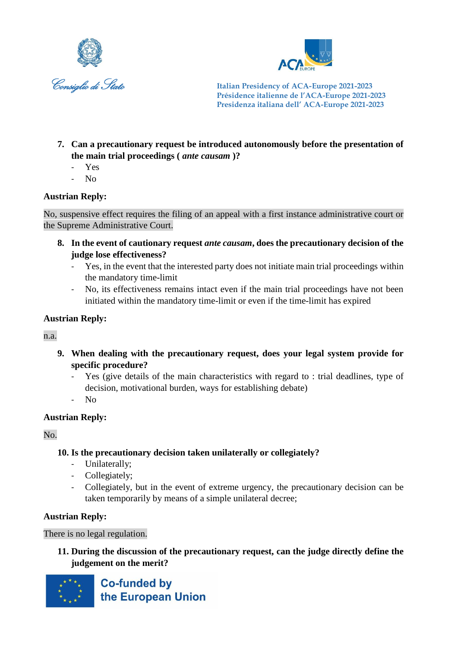



- **7. Can a precautionary request be introduced autonomously before the presentation of the main trial proceedings (** *ante causam* **)?**
	- Yes
	- No

#### **Austrian Reply:**

No, suspensive effect requires the filing of an appeal with a first instance administrative court or the Supreme Administrative Court.

- **8. In the event of cautionary request** *ante causam***, does the precautionary decision of the judge lose effectiveness?**
	- Yes, in the event that the interested party does not initiate main trial proceedings within the mandatory time-limit
	- No, its effectiveness remains intact even if the main trial proceedings have not been initiated within the mandatory time-limit or even if the time-limit has expired

#### **Austrian Reply:**

n.a.

- **9. When dealing with the precautionary request, does your legal system provide for specific procedure?**
	- Yes (give details of the main characteristics with regard to : trial deadlines, type of decision, motivational burden, ways for establishing debate)
	- No

#### **Austrian Reply:**

No.

# **10. Is the precautionary decision taken unilaterally or collegiately?**

- Unilaterally;
- Collegiately;
- Collegiately, but in the event of extreme urgency, the precautionary decision can be taken temporarily by means of a simple unilateral decree;

# **Austrian Reply:**

There is no legal regulation.

**11. During the discussion of the precautionary request, can the judge directly define the judgement on the merit?**